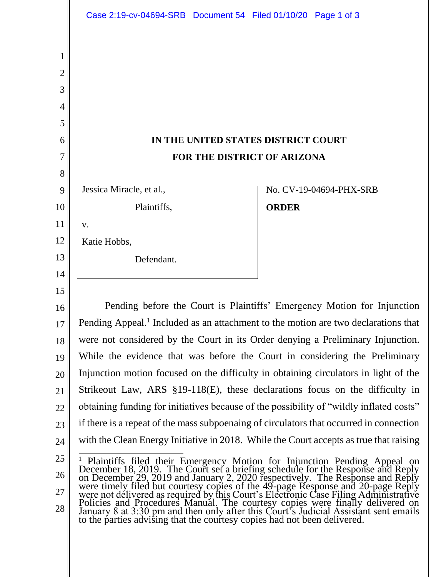|    | Case 2:19-cv-04694-SRB Document 54 Filed 01/10/20 Page 1 of 3                                                                                                                                                                |              |                         |
|----|------------------------------------------------------------------------------------------------------------------------------------------------------------------------------------------------------------------------------|--------------|-------------------------|
| 1  |                                                                                                                                                                                                                              |              |                         |
| 2  |                                                                                                                                                                                                                              |              |                         |
| 3  |                                                                                                                                                                                                                              |              |                         |
| 4  |                                                                                                                                                                                                                              |              |                         |
| 5  |                                                                                                                                                                                                                              |              |                         |
| 6  | IN THE UNITED STATES DISTRICT COURT                                                                                                                                                                                          |              |                         |
| 7  | FOR THE DISTRICT OF ARIZONA                                                                                                                                                                                                  |              |                         |
| 8  |                                                                                                                                                                                                                              |              |                         |
| 9  | Jessica Miracle, et al.,                                                                                                                                                                                                     |              | No. CV-19-04694-PHX-SRB |
| 10 | Plaintiffs,                                                                                                                                                                                                                  | <b>ORDER</b> |                         |
| 11 | V.                                                                                                                                                                                                                           |              |                         |
| 12 | Katie Hobbs,                                                                                                                                                                                                                 |              |                         |
| 13 | Defendant.                                                                                                                                                                                                                   |              |                         |
| 14 |                                                                                                                                                                                                                              |              |                         |
| 15 |                                                                                                                                                                                                                              |              |                         |
| 16 | Pending before the Court is Plaintiffs' Emergency Motion for Injunction                                                                                                                                                      |              |                         |
| 17 | Pending Appeal. <sup>1</sup> Included as an attachment to the motion are two declarations that                                                                                                                               |              |                         |
| 18 | were not considered by the Court in its Order denying a Preliminary Injunction.                                                                                                                                              |              |                         |
| 19 | While the evidence that was before the Court in considering the Preliminary                                                                                                                                                  |              |                         |
| 20 | Injunction motion focused on the difficulty in obtaining circulators in light of the                                                                                                                                         |              |                         |
| 21 | Strikeout Law, ARS $\S19-118(E)$ , these declarations focus on the difficulty in                                                                                                                                             |              |                         |
| 22 | obtaining funding for initiatives because of the possibility of "wildly inflated costs"                                                                                                                                      |              |                         |
| 23 | if there is a repeat of the mass subpoenting of circulators that occurred in connection                                                                                                                                      |              |                         |
| 24 | with the Clean Energy Initiative in 2018. While the Court accepts as true that raising                                                                                                                                       |              |                         |
| 25 | Plaintiffs filed their Emergency Motion for Injunction Pending Appeal on December 18, 2019. The Court set a briefing schedule for the Response and Reply on December 29, 2019 and January 2, 2020 respectively. The Response |              |                         |
| 26 |                                                                                                                                                                                                                              |              |                         |
| 27 |                                                                                                                                                                                                                              |              |                         |
| 28 |                                                                                                                                                                                                                              |              |                         |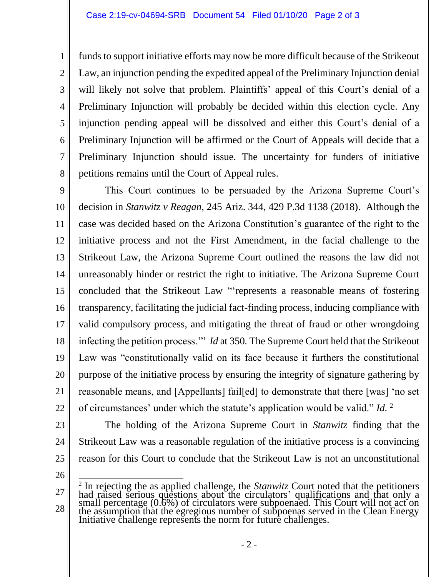funds to support initiative efforts may now be more difficult because of the Strikeout Law, an injunction pending the expedited appeal of the Preliminary Injunction denial will likely not solve that problem. Plaintiffs' appeal of this Court's denial of a Preliminary Injunction will probably be decided within this election cycle. Any injunction pending appeal will be dissolved and either this Court's denial of a Preliminary Injunction will be affirmed or the Court of Appeals will decide that a Preliminary Injunction should issue. The uncertainty for funders of initiative petitions remains until the Court of Appeal rules.

9 10 11 12 13 14 15 16 17 18 19 20 21 22 This Court continues to be persuaded by the Arizona Supreme Court's decision in *Stanwitz v Reagan,* 245 Ariz. 344, 429 P.3d 1138 (2018). Although the case was decided based on the Arizona Constitution's guarantee of the right to the initiative process and not the First Amendment, in the facial challenge to the Strikeout Law, the Arizona Supreme Court outlined the reasons the law did not unreasonably hinder or restrict the right to initiative. The Arizona Supreme Court concluded that the Strikeout Law "'represents a reasonable means of fostering transparency, facilitating the judicial fact-finding process, inducing compliance with valid compulsory process, and mitigating the threat of fraud or other wrongdoing infecting the petition process.'" *Id* at 350*.* The Supreme Court held that the Strikeout Law was "constitutionally valid on its face because it furthers the constitutional purpose of the initiative process by ensuring the integrity of signature gathering by reasonable means, and [Appellants] fail[ed] to demonstrate that there [was] 'no set of circumstances' under which the statute's application would be valid." *Id.* <sup>2</sup>

23 24 25 The holding of the Arizona Supreme Court in *Stanwitz* finding that the Strikeout Law was a reasonable regulation of the initiative process is a convincing reason for this Court to conclude that the Strikeout Law is not an unconstitutional

26

1

2

3

4

5

6

7

8

<sup>27</sup> 28 <sup>2</sup> In rejecting the as applied challenge, the *Stanwitz* Court noted that the petitioners had raised serious questions about the circulators' qualifications and that only a small percentage (0.6%) of circulators were subpoenaed. This Court will not act on the assumption that the egregious number of subpoenas served in the Clean Energy Initiative challenge represents the norm for future challenges.